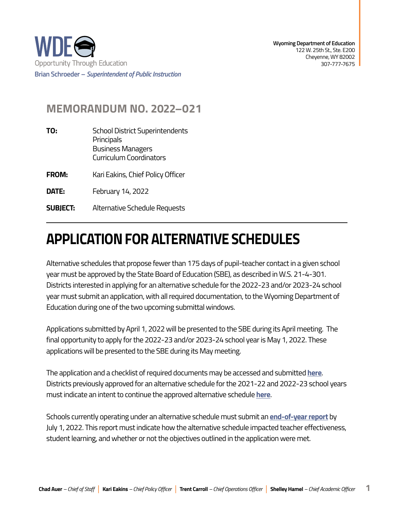

## **MEMORANDUM NO. 2022–021**

| TO:             | <b>School District Superintendents</b><br>Principals<br><b>Business Managers</b><br>Curriculum Coordinators |
|-----------------|-------------------------------------------------------------------------------------------------------------|
| <b>FROM:</b>    | Kari Eakins, Chief Policy Officer                                                                           |
| DATE:           | February 14, 2022                                                                                           |
| <b>SUBJECT:</b> | Alternative Schedule Requests                                                                               |

## **APPLICATION FOR ALTERNATIVE SCHEDULES**

Alternative schedules that propose fewer than 175 days of pupil-teacher contact in a given school year must be approved by the State Board of Education (SBE), as described in W.S. 21-4-301. Districts interested in applying for an alternative schedule for the 2022-23 and/or 2023-24 school year must submit an application, with all required documentation, to the Wyoming Department of Education during one of the two upcoming submittal windows.

Applications submitted by April 1, 2022 will be presented to the SBE during its April meeting. The final opportunity to apply for the 2022-23 and/or 2023-24 school year is May 1, 2022. These applications will be presented to the SBE during its May meeting.

The application and a checklist of required documents may be accessed and submitted **[here](https://edu.wyoming.gov/for-district-leadership/accountability/school-days/)**. Districts previously approved for an alternative schedule for the 2021-22 and 2022-23 school years must indicate an intent to continue the approved alternative schedule **[here](https://www.jotform.com/form/220233050471036)**.

Schools currently operating under an alternative schedule must submit an **[end-of-year report](https://www.jotform.com/form/220272871407049)** by July 1, 2022. This report must indicate how the alternative schedule impacted teacher effectiveness, student learning, and whether or not the objectives outlined in the application were met.